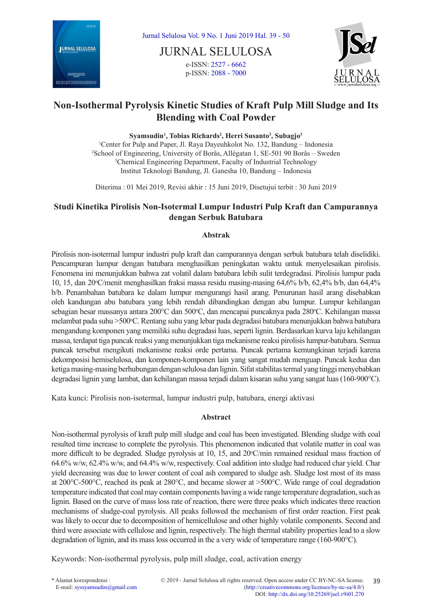

JURNAL SELULOSA e-ISSN: [2527 - 6662](http://u.lipi.go.id/1463025785) p-ISSN: [2088 - 7000](http://u.lipi.go.id/1433848681)



# **Non-Isothermal Pyrolysis Kinetic Studies of Kraft Pulp Mill Sludge and Its Blending with Coal Powder**

**Syamsudin1 , Tobias Richards2 , Herri Susanto3 , Subagjo3**

1 Center for Pulp and Paper, Jl. Raya Dayeuhkolot No. 132, Bandung – Indonesia 2 School of Engineering, University of Borås, Allégatan 1, SE-501 90 Borås – Sweden <sup>3</sup>Chemical Engineering Department, Faculty of Industrial Technology Institut Teknologi Bandung, Jl. Ganesha 10, Bandung – Indonesia

Diterima : 01 Mei 2019, Revisi akhir : 15 Juni 2019, Disetujui terbit : 30 Juni 2019

## **Studi Kinetika Pirolisis Non-Isotermal Lumpur Industri Pulp Kraft dan Campurannya dengan Serbuk Batubara**

## **Abstrak**

Pirolisis non-isotermal lumpur industri pulp kraft dan campurannya dengan serbuk batubara telah diselidiki. Pencampuran lumpur dengan batubara menghasilkan peningkatan waktu untuk menyelesaikan pirolisis. Fenomena ini menunjukkan bahwa zat volatil dalam batubara lebih sulit terdegradasi. Pirolisis lumpur pada 10, 15, dan 20°C/menit menghasilkan fraksi massa residu masing-masing 64,6% b/b, 62,4% b/b, dan 64,4% b/b. Penambahan batubara ke dalam lumpur mengurangi hasil arang. Penurunan hasil arang disebabkan oleh kandungan abu batubara yang lebih rendah dibandingkan dengan abu lumpur. Lumpur kehilangan sebagian besar massanya antara 200°C dan 500°C, dan mencapai puncaknya pada 280°C. Kehilangan massa melambat pada suhu >500°C. Rentang suhu yang lebar pada degradasi batubara menunjukkan bahwa batubara mengandung komponen yang memiliki suhu degradasi luas, seperti lignin. Berdasarkan kurva laju kehilangan massa, terdapat tiga puncak reaksi yang menunjukkan tiga mekanisme reaksi pirolisis lumpur-batubara. Semua puncak tersebut mengikuti mekanisme reaksi orde pertama. Puncak pertama kemungkinan terjadi karena dekomposisi hemiselulosa, dan komponen-komponen lain yang sangat mudah menguap. Puncak kedua dan ketiga masing-masing berhubungan dengan selulosa dan lignin. Sifat stabilitas termal yang tinggi menyebabkan degradasi lignin yang lambat, dan kehilangan massa terjadi dalam kisaran suhu yang sangat luas (160-900°C).

Kata kunci: Pirolisis non-isotermal, lumpur industri pulp, batubara, energi aktivasi

## **Abstract**

Non-isothermal pyrolysis of kraft pulp mill sludge and coal has been investigated. Blending sludge with coal resulted time increase to complete the pyrolysis. This phenomenon indicated that volatile matter in coal was more difficult to be degraded. Sludge pyrolysis at 10, 15, and 20°C/min remained residual mass fraction of 64.6% w/w, 62.4% w/w, and 64.4% w/w, respectively. Coal addition into sludge had reduced char yield. Char yield decreasing was due to lower content of coal ash compared to sludge ash. Sludge lost most of its mass at 200°C-500°C, reached its peak at 280°C, and became slower at >500°C. Wide range of coal degradation temperature indicated that coal may contain components having a wide range temperature degradation, such as lignin. Based on the curve of mass loss rate of reaction, there were three peaks which indicates three reaction mechanisms of sludge-coal pyrolysis. All peaks followed the mechanism of first order reaction. First peak was likely to occur due to decomposition of hemicellulose and other highly volatile components. Second and third were associate with cellulose and lignin, respectively. The high thermal stability properties lead to a slow degradation of lignin, and its mass loss occurred in the a very wide of temperature range (160-900°C).

Keywords: Non-isothermal pyrolysis, pulp mill sludge, coal, activation energy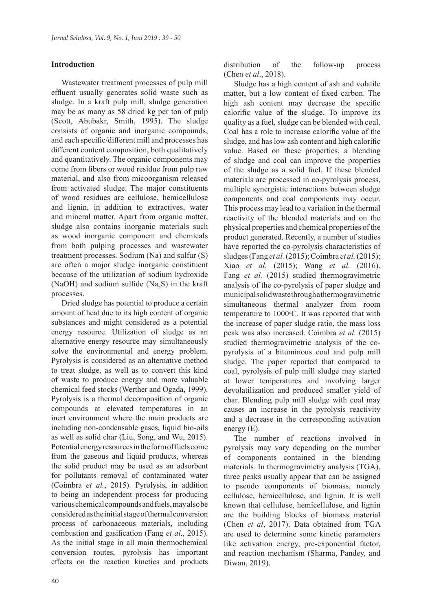#### **Introduction**

Wastewater treatment processes of pulp mill effluent usually generates solid waste such as sludge. In a kraft pulp mill, sludge generation may be as many as 58 dried kg per ton of pulp (Scott, Abubakr, Smith, 1995). The sludge consists of organic and inorganic compounds, and each specific/different mill and processes has different content composition, both qualitatively and quantitatively. The organic components may come from fibers or wood residue from pulp raw material, and also from micoorganism released from activated sludge. The major constituents of wood residues are cellulose, hemicellulose and lignin, in addition to extractives, water and mineral matter. Apart from organic matter, sludge also contains inorganic materials such as wood inorganic component and chemicals from both pulping processes and wastewater treatment processes. Sodium (Na) and sulfur (S) are often a major sludge inorganic constituent because of the utilization of sodium hydroxide (NaOH) and sodium sulfide (Na<sub>2</sub>S) in the kraft processes.

Dried sludge has potential to produce a certain amount of heat due to its high content of organic substances and might considered as a potential energy resource. Utilization of sludge as an alternative energy resource may simultaneously solve the environmental and energy problem. Pyrolysis is considered as an alternative method to treat sludge, as well as to convert this kind of waste to produce energy and more valuable chemical feed stocks (Werther and Ogada, 1999). Pyrolysis is a thermal decomposition of organic compounds at elevated temperatures in an inert environment where the main products are including non-condensable gases, liquid bio-oils as well as solid char (Liu, Song, and Wu, 2015). Potential energy resources in the form of fuels come from the gaseous and liquid products, whereas the solid product may be used as an adsorbent for pollutants removal of contaminated water (Coimbra *et al.*, 2015). Pyrolysis, in addition to being an independent process for producing various chemical compounds and fuels, may also be considered as the initial stage of thermal conversion process of carbonaceous materials, including combustion and gasification (Fang *et al*., 2015). As the initial stage in all main thermochemical conversion routes, pyrolysis has important effects on the reaction kinetics and products distribution of the follow-up process (Chen *et al*., 2018).

Sludge has a high content of ash and volatile matter, but a low content of fixed carbon. The high ash content may decrease the specific calorific value of the sludge. To improve its quality as a fuel, sludge can be blended with coal. Coal has a role to increase calorific value of the sludge, and has low ash content and high calorific value. Based on these properties, a blending of sludge and coal can improve the properties of the sludge as a solid fuel. If these blended materials are processed in co-pyrolysis process, multiple synergistic interactions between sludge components and coal components may occur. This process may lead to a variation in the thermal reactivity of the blended materials and on the physical properties and chemical properties of the product generated. Recently, a number of studies have reported the co-pyrolysis characteristics of sludges (Fang *et al.* (2015); Coimbra *et al.* (2015); Xiao *et al.* (2015); Wang *et al.* (2016). Fang *et al.* (2015) studied thermogravimetric analysis of the co-pyrolysis of paper sludge and municipal solid waste through a thermogravimetric simultaneous thermal analyzer from room temperature to 1000°C. It was reported that with the increase of paper sludge ratio, the mass loss peak was also increased. Coimbra *et al.* (2015) studied thermogravimetric analysis of the copyrolysis of a bituminous coal and pulp mill sludge. The paper reported that compared to coal, pyrolysis of pulp mill sludge may started at lower temperatures and involving larger devolatilization and produced smaller yield of char. Blending pulp mill sludge with coal may causes an increase in the pyrolysis reactivity and a decrease in the corresponding activation energy (E).

The number of reactions involved in pyrolysis may vary depending on the number of components contained in the blending materials. In thermogravimetry analysis (TGA), three peaks usually appear that can be assigned to pseudo components of biomass, namely cellulose, hemicellulose, and lignin. It is well known that cellulose, hemicellulose, and lignin are the building blocks of biomass material (Chen *et al*, 2017). Data obtained from TGA are used to determine some kinetic parameters like activation energy, pre-exponential factor, and reaction mechanism (Sharma, Pandey, and Diwan, 2019).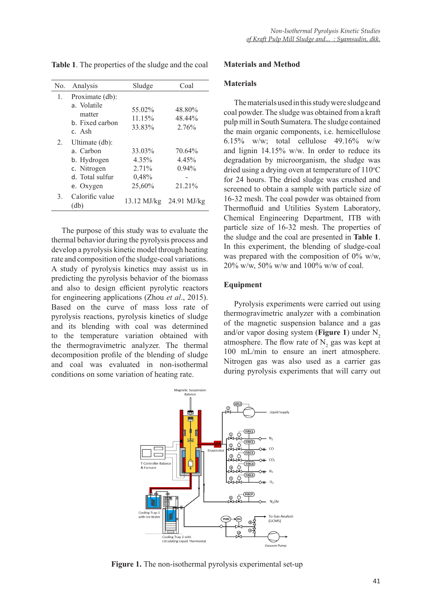| No. | Analysis                                                                                  | Sludge                                      | Coal                                  |
|-----|-------------------------------------------------------------------------------------------|---------------------------------------------|---------------------------------------|
| 1.  | Proximate (db):<br>a. Volatile<br>matter<br>b. Fixed carbon<br>c. Ash                     | 55.02%<br>11.15%<br>33.83%                  | 48.80%<br>48.44%<br>2.76%             |
| 2.  | Ultimate (db):<br>a. Carbon<br>b. Hydrogen<br>c. Nitrogen<br>d. Total sulfur<br>e. Oxygen | 33.03%<br>4.35%<br>2.71%<br>0,48%<br>25,60% | 70.64%<br>4.45%<br>$0.94\%$<br>21.21% |
| 3.  | Calorific value<br>(db)                                                                   | 13.12 MJ/kg                                 | $24.91$ MJ/kg                         |

**Table 1**. The properties of the sludge and the coal

The purpose of this study was to evaluate the thermal behavior during the pyrolysis process and develop a pyrolysis kinetic model through heating rate and composition of the sludge-coal variations. A study of pyrolysis kinetics may assist us in predicting the pyrolysis behavior of the biomass and also to design efficient pyrolytic reactors for engineering applications (Zhou *et al*., 2015). Based on the curve of mass loss rate of pyrolysis reactions, pyrolysis kinetics of sludge and its blending with coal was determined to the temperature variation obtained with the thermogravimetric analyzer. The thermal decomposition profile of the blending of sludge and coal was evaluated in non-isothermal conditions on some variation of heating rate.

#### **Materials and Method**

## **Materials**

The materials used in this study were sludge and coal powder. The sludge was obtained from a kraft pulp mill in South Sumatera. The sludge contained the main organic components, i.e. hemicellulose 6.15% w/w; total cellulose  $49.16\%$  w/w and lignin 14.15% w/w. In order to reduce its degradation by microorganism, the sludge was dried using a drying oven at temperature of  $110^{\circ}$ C for 24 hours. The dried sludge was crushed and screened to obtain a sample with particle size of 16-32 mesh. The coal powder was obtained from Thermofluid and Utilities System Laboratory, Chemical Engineering Department, ITB with particle size of 16-32 mesh. The properties of the sludge and the coal are presented in **Table 1**. In this experiment, the blending of sludge-coal was prepared with the composition of 0% w/w, 20% w/w, 50% w/w and 100% w/w of coal.

#### **Equipment**

Pyrolysis experiments were carried out using thermogravimetric analyzer with a combination of the magnetic suspension balance and a gas and/or vapor dosing system (**Figure 1**) under  $N<sub>2</sub>$ atmosphere. The flow rate of  $N_2$  gas was kept at 100 mL/min to ensure an inert atmosphere. Nitrogen gas was also used as a carrier gas during pyrolysis experiments that will carry out



Figure 1. The non-isothermal pyrolysis experimental set-up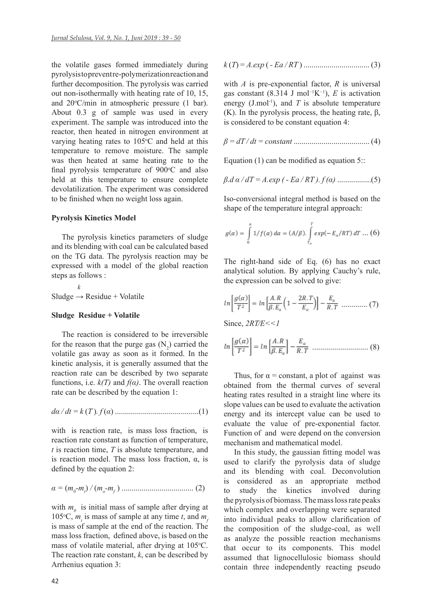the volatile gases formed immediately during pyrolysis to prevent re-polymerization reaction and further decomposition. The pyrolysis was carried out non-isothermally with heating rate of 10, 15, and 20°C/min in atmospheric pressure (1 bar). About 0.3 g of sample was used in every experiment. The sample was introduced into the reactor, then heated in nitrogen environment at varying heating rates to  $105^{\circ}$ C and held at this temperature to remove moisture. The sample was then heated at same heating rate to the final pyrolysis temperature of 900°C and also held at this temperature to ensure complete devolatilization. The experiment was considered to be finished when no weight loss again.

#### **Pyrolysis Kinetics Model**

The pyrolysis kinetics parameters of sludge and its blending with coal can be calculated based on the TG data. The pyrolysis reaction may be expressed with a model of the global reaction steps as follows :

 *k*  $S$ ludge  $\rightarrow$  Residue + Volatile

#### **Sludge Residue + Volatile**

The reaction is considered to be irreversible for the reason that the purge gas  $(N_2)$  carried the volatile gas away as soon as it formed. In the kinetic analysis, it is generally assumed that the reaction rate can be described by two separate functions, i.e. *k(T)* and *f(α)*. The overall reaction rate can be described by the equation 1:

*dα / dt = k* (*T* )*. f* (*α*) ..........................................(1)

with is reaction rate, is mass loss fraction, is reaction rate constant as function of temperature, *t* is reaction time, *T* is absolute temperature, and is reaction model. The mass loss fraction, α, is defined by the equation 2:

*α =* (*m0 -mt* ) */* (*mo -mf* ) .................................... (2)

with  $m_0$  is initial mass of sample after drying at 105°C,  $m_t$  is mass of sample at any time *t*, and  $m_f$ is mass of sample at the end of the reaction. The mass loss fraction, defined above, is based on the mass of volatile material, after drying at 105°C. The reaction rate constant,  $k$ , can be described by Arrhenius equation 3:

$$
k(T) = A \cdot exp(-Ea/RT)
$$
.................(3)

with *A* is pre-exponential factor, *R* is universal gas constant (8.314 J mol<sup>-1</sup>K<sup>-1</sup>), *E* is activation energy (J.mol<sup>-1</sup>), and  $T$  is absolute temperature (K). In the pyrolysis process, the heating rate,  $β$ , is considered to be constant equation 4:

$$
\beta = dT/dt = constant \dots \dots \dots \dots \dots \dots \dots \dots \dots \dots \dots \dots \tag{4}
$$

Equation  $(1)$  can be modified as equation 5::

$$
\beta
$$
. $d \alpha / dT = A. exp (-Ea / RT). f(\alpha) ..........$ (5)

Iso-conversional integral method is based on the shape of the temperature integral approach:

$$
g(\alpha) = \int\limits_0^\alpha 1/f(\alpha)\,d\alpha = (A/\beta).\int\limits_{T_o}^T exp(-E_\alpha/RT)\,dT\,\dots\,(6)
$$

The right-hand side of Eq. (6) has no exact analytical solution. By applying Cauchy's rule, the expression can be solved to give:

$$
ln\left[\frac{g(\alpha)}{T^2}\right] = ln\left[\frac{A.R}{\beta.E_\alpha}\left(1 - \frac{2R.T}{E_\alpha}\right)\right] - \frac{E_\alpha}{R.T}
$$
 ....... (7)

Since, *2RT⁄E<<1*

$$
ln\left[\frac{g(\alpha)}{T^2}\right] = ln\left[\frac{A.R}{\beta.E_\alpha}\right] - \frac{E_\alpha}{R.T}
$$
 ....... (8)

Thus, for  $\alpha$  = constant, a plot of against was obtained from the thermal curves of several heating rates resulted in a straight line where its slope values can be used to evaluate the activation energy and its intercept value can be used to evaluate the value of pre-exponential factor. Function of and were depend on the conversion mechanism and mathematical model.

In this study, the gaussian fitting model was used to clarify the pyrolysis data of sludge and its blending with coal. Deconvolution is considered as an appropriate method to study the kinetics involved during the pyrolysis of biomass. The mass loss rate peaks which complex and overlapping were separated into individual peaks to allow clarification of the composition of the sludge-coal, as well as analyze the possible reaction mechanisms that occur to its components. This model assumed that lignocellulosic biomass should contain three independently reacting pseudo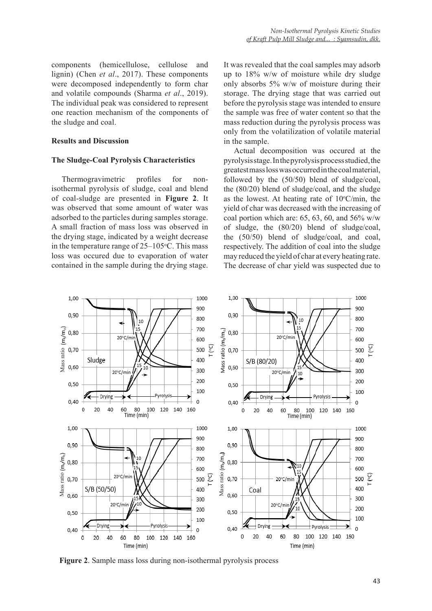components (hemicellulose, cellulose and lignin) (Chen *et al*., 2017). These components were decomposed independently to form char and volatile compounds (Sharma *et al*., 2019). The individual peak was considered to represent one reaction mechanism of the components of the sludge and coal.

#### **Results and Discussion**

#### **The Sludge-Coal Pyrolysis Characteristics**

Thermogravimetric profiles for nonisothermal pyrolysis of sludge, coal and blend of coal-sludge are presented in **Figure 2**. It was observed that some amount of water was adsorbed to the particles during samples storage. A small fraction of mass loss was observed in the drying stage, indicated by a weight decrease in the temperature range of  $25-105$ °C. This mass loss was occured due to evaporation of water contained in the sample during the drying stage.

It was revealed that the coal samples may adsorb up to 18% w/w of moisture while dry sludge only absorbs 5% w/w of moisture during their storage. The drying stage that was carried out before the pyrolysis stage was intended to ensure the sample was free of water content so that the mass reduction during the pyrolysis process was only from the volatilization of volatile material in the sample.

Actual decomposition was occured at the pyrolysis stage. In the pyrolysis process studied, the greatest mass loss was occurred in the coal material, followed by the (50/50) blend of sludge/coal, the (80/20) blend of sludge/coal, and the sludge as the lowest. At heating rate of  $10^{\circ}$ C/min, the yield of char was decreased with the increasing of coal portion which are:  $65, 63, 60,$  and  $56\%$  w/w of sludge, the (80/20) blend of sludge/coal, the (50/50) blend of sludge/coal, and coal, respectively. The addition of coal into the sludge may reduced the yield of char at every heating rate. The decrease of char yield was suspected due to

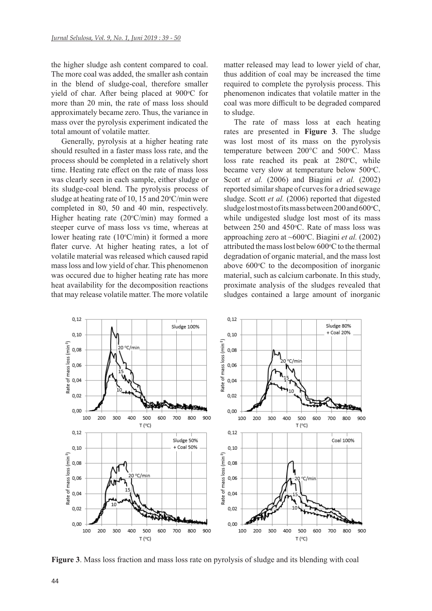the higher sludge ash content compared to coal. The more coal was added, the smaller ash contain in the blend of sludge-coal, therefore smaller yield of char. After being placed at 900°C for more than 20 min, the rate of mass loss should approximately became zero. Thus, the variance in mass over the pyrolysis experiment indicated the total amount of volatile matter.

Generally, pyrolysis at a higher heating rate should resulted in a faster mass loss rate, and the process should be completed in a relatively short time. Heating rate effect on the rate of mass loss was clearly seen in each sample, either sludge or its sludge-coal blend. The pyrolysis process of sludge at heating rate of 10, 15 and  $20^{\circ}$ C/min were completed in 80, 50 and 40 min, respectively. Higher heating rate (20°C/min) may formed a steeper curve of mass loss vs time, whereas at lower heating rate  $(10^{\circ}C/\text{min})$  it formed a more flater curve. At higher heating rates, a lot of volatile material was released which caused rapid mass loss and low yield of char. This phenomenon was occured due to higher heating rate has more heat availability for the decomposition reactions that may release volatile matter. The more volatile

matter released may lead to lower yield of char, thus addition of coal may be increased the time required to complete the pyrolysis process. This phenomenon indicates that volatile matter in the coal was more difficult to be degraded compared to sludge.

The rate of mass loss at each heating rates are presented in **Figure 3**. The sludge was lost most of its mass on the pyrolysis temperature between  $200^{\circ}$ C and  $500^{\circ}$ C. Mass loss rate reached its peak at 280°C, while became very slow at temperature below 500°C. Scott *et al.* (2006) and Biagini *et al.* (2002) reported similar shape of curves for a dried sewage sludge. Scott *et al.* (2006) reported that digested sludge lost most of its mass between 200 and 600°C, while undigested sludge lost most of its mass between 250 and 450°C. Rate of mass loss was approaching zero at ~600°C. Biagini et al. (2002) attributed the mass lost below 600°C to the thermal degradation of organic material, and the mass lost above 600°C to the decomposition of inorganic material, such as calcium carbonate. In this study, proximate analysis of the sludges revealed that sludges contained a large amount of inorganic



**Figure 3**. Mass loss fraction and mass loss rate on pyrolysis of sludge and its blending with coal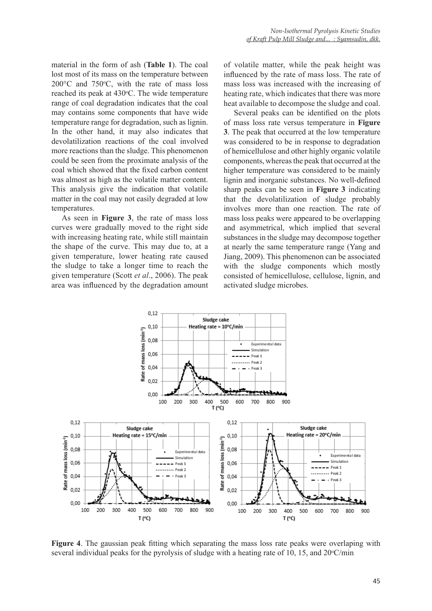material in the form of ash (**Table 1**). The coal lost most of its mass on the temperature between  $200^{\circ}$ C and  $750^{\circ}$ C, with the rate of mass loss reached its peak at 430°C. The wide temperature range of coal degradation indicates that the coal may contains some components that have wide temperature range for degradation, such as lignin. In the other hand, it may also indicates that devolatilization reactions of the coal involved more reactions than the sludge. This phenomenon could be seen from the proximate analysis of the coal which showed that the fixed carbon content was almost as high as the volatile matter content. This analysis give the indication that volatile matter in the coal may not easily degraded at low temperatures.

As seen in **Figure 3**, the rate of mass loss curves were gradually moved to the right side with increasing heating rate, while still maintain the shape of the curve. This may due to, at a given temperature, lower heating rate caused the sludge to take a longer time to reach the given temperature (Scott *et al*., 2006). The peak area was influenced by the degradation amount

of volatile matter, while the peak height was influenced by the rate of mass loss. The rate of mass loss was increased with the increasing of heating rate, which indicates that there was more heat available to decompose the sludge and coal.

Several peaks can be identified on the plots of mass loss rate versus temperature in **Figure 3**. The peak that occurred at the low temperature was considered to be in response to degradation of hemicellulose and other highly organic volatile components, whereas the peak that occurred at the higher temperature was considered to be mainly lignin and inorganic substances. No well-defined sharp peaks can be seen in **Figure 3** indicating that the devolatilization of sludge probably involves more than one reaction. The rate of mass loss peaks were appeared to be overlapping and asymmetrical, which implied that several substances in the sludge may decompose together at nearly the same temperature range (Yang and Jiang, 2009). This phenomenon can be associated with the sludge components which mostly consisted of hemicellulose, cellulose, lignin, and activated sludge microbes.



**Figure 4**. The gaussian peak fitting which separating the mass loss rate peaks were overlaping with several individual peaks for the pyrolysis of sludge with a heating rate of 10, 15, and  $20^{\circ}$ C/min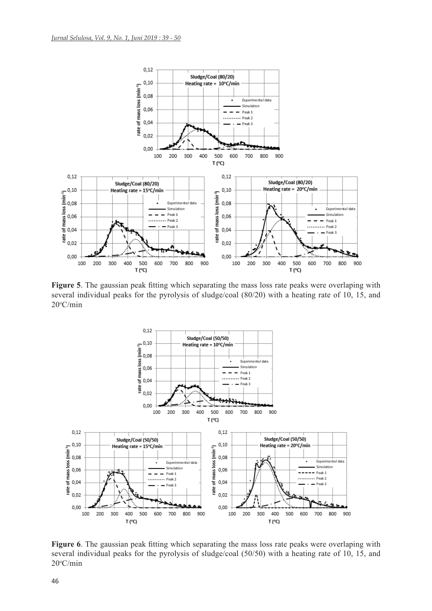

**Figure 5**. The gaussian peak fitting which separating the mass loss rate peaks were overlaping with several individual peaks for the pyrolysis of sludge/coal (80/20) with a heating rate of 10, 15, and 20o C/min



**Figure 6**. The gaussian peak fitting which separating the mass loss rate peaks were overlaping with several individual peaks for the pyrolysis of sludge/coal (50/50) with a heating rate of 10, 15, and 20o C/min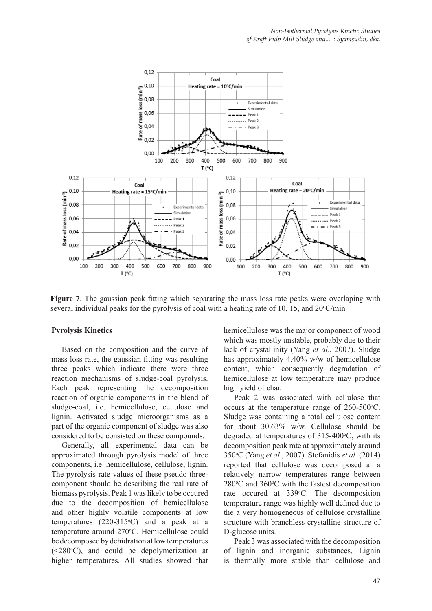

**Figure 7**. The gaussian peak fitting which separating the mass loss rate peaks were overlaping with several individual peaks for the pyrolysis of coal with a heating rate of 10, 15, and  $20^{\circ}$ C/min

#### **Pyrolysis Kinetics**

Based on the composition and the curve of mass loss rate, the gaussian fitting was resulting three peaks which indicate there were three reaction mechanisms of sludge-coal pyrolysis. Each peak representing the decomposition reaction of organic components in the blend of sludge-coal, i.e. hemicellulose, cellulose and lignin. Activated sludge microorganisms as a part of the organic component of sludge was also considered to be consisted on these compounds.

Generally, all experimental data can be approximated through pyrolysis model of three components, i.e. hemicellulose, cellulose, lignin. The pyrolysis rate values of these pseudo threecomponent should be describing the real rate of biomass pyrolysis. Peak 1 was likely to be occured due to the decomposition of hemicellulose and other highly volatile components at low temperatures  $(220-315\text{°C})$  and a peak at a temperature around 270°C. Hemicellulose could be decomposed by dehidration at low temperatures  $(\leq 280^{\circ}$ C), and could be depolymerization at higher temperatures. All studies showed that

hemicellulose was the major component of wood which was mostly unstable, probably due to their lack of crystallinity (Yang *et al*., 2007). Sludge has approximately 4.40% w/w of hemicellulose content, which consequently degradation of hemicellulose at low temperature may produce high yield of char.

Peak 2 was associated with cellulose that occurs at the temperature range of  $260-500$ °C. Sludge was containing a total cellulose content for about 30.63% w/w. Cellulose should be degraded at temperatures of  $315-400$ °C, with its decomposition peak rate at approximately around 350o C (Yang *et al*., 2007). Stefanidis *et al.* (2014) reported that cellulose was decomposed at a relatively narrow temperatures range between  $280^{\circ}$ C and  $360^{\circ}$ C with the fastest decomposition rate occured at 339°C. The decomposition temperature range was highly well defined due to the a very homogeneous of cellulose crystalline structure with branchless crystalline structure of D-glucose units.

Peak 3 was associated with the decomposition of lignin and inorganic substances. Lignin is thermally more stable than cellulose and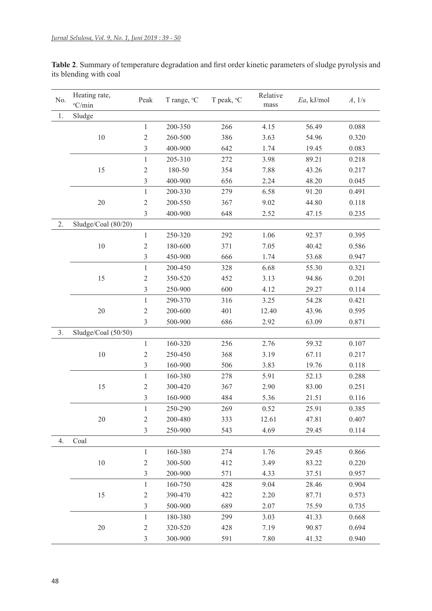No. Heating rate, °C/min Peak T range, °C T peak, <sup>o</sup>C Relative mass *Ea*, kJ/mol *A*, 1/s 1. Sludge 200-350 266 4.15 56.49 0.088 260-500 386 3.63 54.96 0.320 400-900 642 1.74 19.45 0.083 205-310 272 3.98 89.21 0.218 180-50 354 7.88 43.26 0.217 400-900 656 2.24 48.20 0.045 200-330 279 6.58 91.20 0.491 200-550 367 9.02 44.80 0.118 400-900 648 2.52 47.15 0.235 2. Sludge/Coal (80/20) 250-320 292 1.06 92.37 0.395 180-600 371 7.05 40.42 0.586 450-900 666 1.74 53.68 0.947 200-450 328 6.68 55.30 0.321 350-520 452 3.13 94.86 0.201 250-900 600 4.12 29.27 0.114 290-370 316 3.25 54.28 0.421 200-600 401 12.40 43.96 0.595 500-900 686 2.92 63.09 0.871 3. Sludge/Coal (50/50) 160-320 256 2.76 59.32 0.107 250-450 368 3.19 67.11 0.217 160-900 506 3.83 19.76 0.118 160-380 278 5.91 52.13 0.288 300-420 367 2.90 83.00 0.251 160-900 484 5.36 21.51 0.116 250-290 269 0.52 25.91 0.385 200-480 333 12.61 47.81 0.407 250-900 543 4.69 29.45 0.114 4. Coal 160-380 274 1.76 29.45 0.866 300-500 412 3.49 83.22 0.220 200-900 571 4.33 37.51 0.957 160-750 428 9.04 28.46 0.904 390-470 422 2.20 87.71 0.573 500-900 689 2.07 75.59 0.735 180-380 299 3.03 41.33 0.668 320-520 428 7.19 90.87 0.694

300-900 591 7.80 41.32 0.940

**Table 2**. Summary of temperature degradation and first order kinetic parameters of sludge pyrolysis and its blending with coal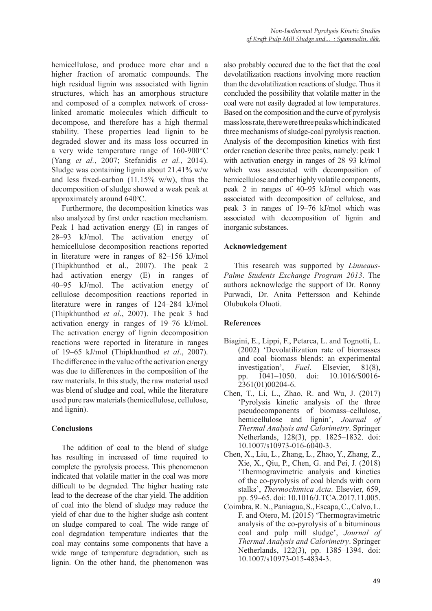hemicellulose, and produce more char and a higher fraction of aromatic compounds. The high residual lignin was associated with lignin structures, which has an amorphous structure and composed of a complex network of crosslinked aromatic molecules which difficult to decompose, and therefore has a high thermal stability. These properties lead lignin to be degraded slower and its mass loss occurred in a very wide temperature range of 160-900°C (Yang *et al.*, 2007; Stefanidis *et al.*, 2014). Sludge was containing lignin about 21.41% w/w and less fixed-carbon  $(11.15\% \text{ w/w})$ , thus the decomposition of sludge showed a weak peak at approximately around 640°C.

Furthermore, the decomposition kinetics was also analyzed by first order reaction mechanism. Peak 1 had activation energy (E) in ranges of 28–93 kJ/mol. The activation energy of hemicellulose decomposition reactions reported in literature were in ranges of 82–156 kJ/mol (Thipkhunthod et al., 2007). The peak 2 had activation energy (E) in ranges of 40–95 kJ/mol. The activation energy of cellulose decomposition reactions reported in literature were in ranges of 124–284 kJ/mol (Thipkhunthod *et al*., 2007). The peak 3 had activation energy in ranges of 19–76 kJ/mol. The activation energy of lignin decomposition reactions were reported in literature in ranges of 19–65 kJ/mol (Thipkhunthod *et al*., 2007). The difference in the value of the activation energy was due to differences in the composition of the raw materials. In this study, the raw material used was blend of sludge and coal, while the literature used pure raw materials (hemicellulose, cellulose, and lignin).

## **Conclusions**

The addition of coal to the blend of sludge has resulting in increased of time required to complete the pyrolysis process. This phenomenon indicated that volatile matter in the coal was more difficult to be degraded. The higher heating rate lead to the decrease of the char yield. The addition of coal into the blend of sludge may reduce the yield of char due to the higher sludge ash content on sludge compared to coal. The wide range of coal degradation temperature indicates that the coal may contains some components that have a wide range of temperature degradation, such as lignin. On the other hand, the phenomenon was

also probably occured due to the fact that the coal devolatilization reactions involving more reaction than the devolatilization reactions of sludge. Thus it concluded the possibility that volatile matter in the coal were not easily degraded at low temperatures. Based on the composition and the curve of pyrolysis mass loss rate, there were three peaks which indicated three mechanisms of sludge-coal pyrolysis reaction. Analysis of the decomposition kinetics with first order reaction describe three peaks, namely: peak 1 with activation energy in ranges of 28–93 kJ/mol which was associated with decomposition of hemicellulose and other highly volatile components, peak 2 in ranges of 40–95 kJ/mol which was associated with decomposition of cellulose, and peak 3 in ranges of 19–76 kJ/mol which was associated with decomposition of lignin and inorganic substances.

## **Acknowledgement**

This research was supported by *Linneaus-Palme Students Exchange Program 2013*. The authors acknowledge the support of Dr. Ronny Purwadi, Dr. Anita Pettersson and Kehinde Olubukola Oluoti.

## **References**

- Biagini, E., Lippi, F., Petarca, L. and Tognotti, L. (2002) 'Devolatilization rate of biomasses and coal–biomass blends: an experimental investigation', *Fuel*. Elsevier, 81(8), pp. 1041–1050. doi: 10.1016/S0016- 2361(01)00204-6.
- Chen, T., Li, L., Zhao, R. and Wu, J. (2017) 'Pyrolysis kinetic analysis of the three pseudocomponents of biomass–cellulose, hemicellulose and lignin', *Journal of Thermal Analysis and Calorimetry*. Springer Netherlands, 128(3), pp. 1825–1832. doi: 10.1007/s10973-016-6040-3.
- Chen, X., Liu, L., Zhang, L., Zhao, Y., Zhang, Z., Xie, X., Qiu, P., Chen, G. and Pei, J. (2018) 'Thermogravimetric analysis and kinetics of the co-pyrolysis of coal blends with corn stalks', *Thermochimica Acta*. Elsevier, 659, pp. 59–65. doi: 10.1016/J.TCA.2017.11.005.
- Coimbra, R. N., Paniagua, S., Escapa, C., Calvo, L. F. and Otero, M. (2015) 'Thermogravimetric analysis of the co-pyrolysis of a bituminous coal and pulp mill sludge', *Journal of Thermal Analysis and Calorimetry*. Springer Netherlands, 122(3), pp. 1385–1394. doi: 10.1007/s10973-015-4834-3.